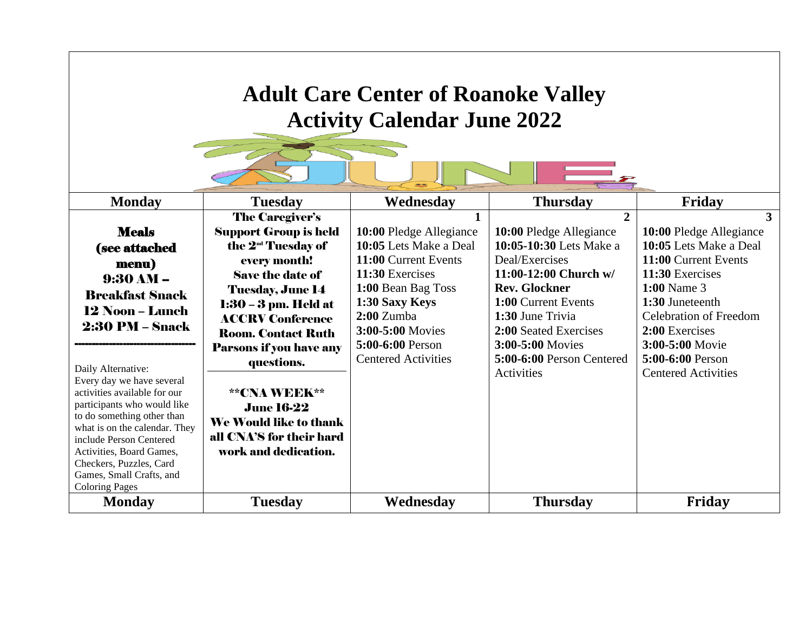## **Adult Care Center of Roanoke Valley Activity Calendar June 2022**

 $\mathbb{Z}_{\mathcal{Z}}$ 

| <b>Monday</b>                                            | <b>Tuesday</b>                 | Wednesday                  | <b>Thursday</b>           | Friday                        |
|----------------------------------------------------------|--------------------------------|----------------------------|---------------------------|-------------------------------|
|                                                          | <b>The Caregiver's</b>         |                            | $\mathbf{2}$              | 3                             |
| <b>Meals</b>                                             | <b>Support Group is held</b>   | 10:00 Pledge Allegiance    | 10:00 Pledge Allegiance   | 10:00 Pledge Allegiance       |
| (see attached                                            | the 2 <sup>nd</sup> Tuesday of | 10:05 Lets Make a Deal     | 10:05-10:30 Lets Make a   | 10:05 Lets Make a Deal        |
| menu)                                                    | every month!                   | 11:00 Current Events       | Deal/Exercises            | 11:00 Current Events          |
| $9:30 AM -$                                              | <b>Save the date of</b>        | 11:30 Exercises            | 11:00-12:00 Church $w/$   | 11:30 Exercises               |
| <b>Breakfast Snack</b>                                   | <b>Tuesday, June 14</b>        | 1:00 Bean Bag Toss         | <b>Rev. Glockner</b>      | $1:00$ Name 3                 |
| <b>12 Noon – Lunch</b>                                   | 1:30 – 3 pm. Held at           | 1:30 Saxy Keys             | 1:00 Current Events       | 1:30 Juneteenth               |
|                                                          | <b>ACCRV Conference</b>        | $2:00$ Zumba               | 1:30 June Trivia          | <b>Celebration of Freedom</b> |
| <b>2:30 PM – Snack</b>                                   | <b>Room. Contact Ruth</b>      | 3:00-5:00 Movies           | 2:00 Seated Exercises     | 2:00 Exercises                |
|                                                          | <b>Parsons if you have any</b> | 5:00-6:00 Person           | 3:00-5:00 Movies          | 3:00-5:00 Movie               |
|                                                          | questions.                     | <b>Centered Activities</b> | 5:00-6:00 Person Centered | 5:00-6:00 Person              |
| Daily Alternative:<br>Every day we have several          |                                |                            | Activities                | <b>Centered Activities</b>    |
| activities available for our                             | **CNA WEEK**                   |                            |                           |                               |
| participants who would like                              | <b>June 16-22</b>              |                            |                           |                               |
| to do something other than                               | We Would like to thank         |                            |                           |                               |
| what is on the calendar. They<br>include Person Centered | all CNA'S for their hard       |                            |                           |                               |
| Activities, Board Games,                                 | work and dedication.           |                            |                           |                               |
| Checkers, Puzzles, Card                                  |                                |                            |                           |                               |
| Games, Small Crafts, and                                 |                                |                            |                           |                               |
| <b>Coloring Pages</b>                                    |                                |                            |                           |                               |
| <b>Monday</b>                                            | <b>Tuesday</b>                 | Wednesday                  | <b>Thursday</b>           | Friday                        |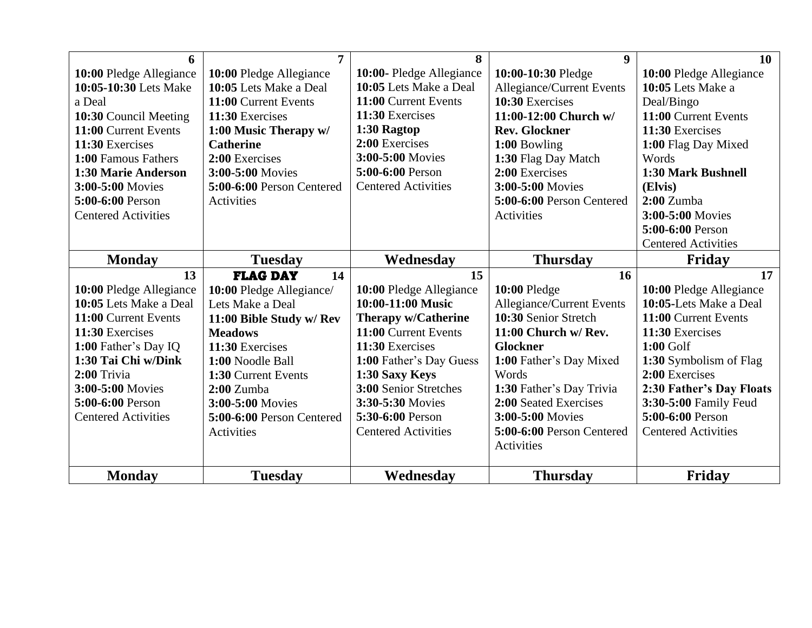| 6                          | $\overline{7}$            | 8                          | $\boldsymbol{9}$          | 10                         |
|----------------------------|---------------------------|----------------------------|---------------------------|----------------------------|
| 10:00 Pledge Allegiance    | 10:00 Pledge Allegiance   | 10:00- Pledge Allegiance   | 10:00-10:30 Pledge        | 10:00 Pledge Allegiance    |
| 10:05-10:30 Lets Make      | 10:05 Lets Make a Deal    | 10:05 Lets Make a Deal     | Allegiance/Current Events | 10:05 Lets Make a          |
| a Deal                     | 11:00 Current Events      | 11:00 Current Events       | 10:30 Exercises           | Deal/Bingo                 |
| 10:30 Council Meeting      | 11:30 Exercises           | 11:30 Exercises            | 11:00-12:00 Church $w/$   | 11:00 Current Events       |
| 11:00 Current Events       | 1:00 Music Therapy w/     | 1:30 Ragtop                | <b>Rev. Glockner</b>      | 11:30 Exercises            |
| 11:30 Exercises            | <b>Catherine</b>          | 2:00 Exercises             | 1:00 Bowling              | 1:00 Flag Day Mixed        |
| 1:00 Famous Fathers        | 2:00 Exercises            | 3:00-5:00 Movies           | 1:30 Flag Day Match       | Words                      |
| 1:30 Marie Anderson        | 3:00-5:00 Movies          | 5:00-6:00 Person           | 2:00 Exercises            | 1:30 Mark Bushnell         |
| 3:00-5:00 Movies           | 5:00-6:00 Person Centered | <b>Centered Activities</b> | 3:00-5:00 Movies          | (Elvis)                    |
| 5:00-6:00 Person           | Activities                |                            | 5:00-6:00 Person Centered | $2:00$ Zumba               |
| <b>Centered Activities</b> |                           |                            | Activities                | 3:00-5:00 Movies           |
|                            |                           |                            |                           | 5:00-6:00 Person           |
|                            |                           |                            |                           | <b>Centered Activities</b> |
| <b>Monday</b>              | <b>Tuesday</b>            | Wednesday                  | <b>Thursday</b>           | Friday                     |
| 13                         | <b>FLAG DAY</b><br>14     | 15                         | 16                        | 17                         |
| 10:00 Pledge Allegiance    | 10:00 Pledge Allegiance/  | 10:00 Pledge Allegiance    | 10:00 Pledge              | 10:00 Pledge Allegiance    |
| 10:05 Lets Make a Deal     | Lets Make a Deal          | 10:00-11:00 Music          | Allegiance/Current Events | 10:05-Lets Make a Deal     |
| 11:00 Current Events       | 11:00 Bible Study w/ Rev  | <b>Therapy w/Catherine</b> | 10:30 Senior Stretch      | 11:00 Current Events       |
| 11:30 Exercises            | <b>Meadows</b>            | 11:00 Current Events       | 11:00 Church w/ Rev.      | 11:30 Exercises            |
| 1:00 Father's Day IQ       | 11:30 Exercises           | 11:30 Exercises            | <b>Glockner</b>           | $1:00$ Golf                |
| 1:30 Tai Chi w/Dink        | 1:00 Noodle Ball          | 1:00 Father's Day Guess    | 1:00 Father's Day Mixed   | 1:30 Symbolism of Flag     |
| 2:00 Trivia                | 1:30 Current Events       | 1:30 Saxy Keys             | Words                     | 2:00 Exercises             |
| 3:00-5:00 Movies           | $2:00$ Zumba              | 3:00 Senior Stretches      | 1:30 Father's Day Trivia  | 2:30 Father's Day Floats   |
| 5:00-6:00 Person           | 3:00-5:00 Movies          | 3:30-5:30 Movies           | 2:00 Seated Exercises     | 3:30-5:00 Family Feud      |
| <b>Centered Activities</b> | 5:00-6:00 Person Centered | 5:30-6:00 Person           | 3:00-5:00 Movies          | 5:00-6:00 Person           |
|                            | Activities                | <b>Centered Activities</b> | 5:00-6:00 Person Centered | <b>Centered Activities</b> |
|                            |                           |                            | Activities                |                            |
| <b>Monday</b>              | <b>Tuesday</b>            | Wednesday                  | <b>Thursday</b>           | Friday                     |